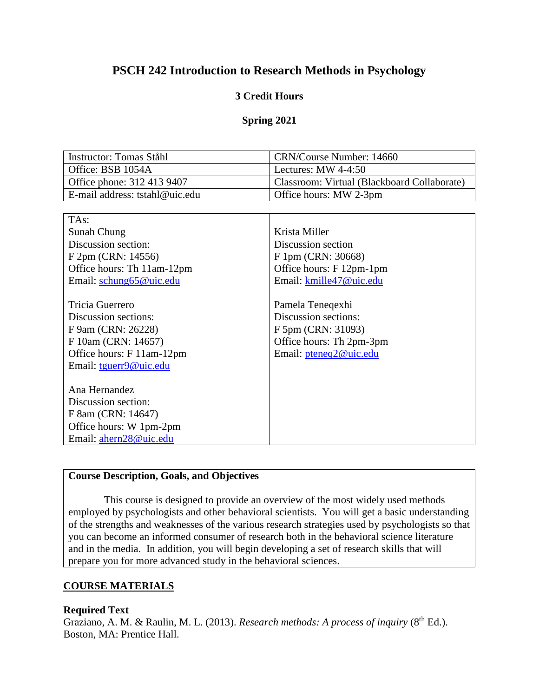# **PSCH 242 Introduction to Research Methods in Psychology**

### **3 Credit Hours**

#### **Spring 2021**

| Instructor: Tomas Ståhl        | CRN/Course Number: 14660                    |
|--------------------------------|---------------------------------------------|
| Office: BSB 1054A              | Lectures: MW $4-4:50$                       |
| Office phone: 312 413 9407     | Classroom: Virtual (Blackboard Collaborate) |
| E-mail address: tstahl@uic.edu | Office hours: MW 2-3pm                      |

| TA <sub>s</sub> :          |                          |
|----------------------------|--------------------------|
| Sunah Chung                | Krista Miller            |
| Discussion section:        | Discussion section       |
| F 2pm (CRN: 14556)         | F 1pm (CRN: 30668)       |
| Office hours: Th 11am-12pm | Office hours: F 12pm-1pm |
| Email: schung65@uic.edu    | Email: kmille47@uic.edu  |
|                            |                          |
| Tricia Guerrero            | Pamela Teneqexhi         |
| Discussion sections:       | Discussion sections:     |
| F 9am (CRN: 26228)         | F 5pm (CRN: 31093)       |
| F 10am (CRN: 14657)        | Office hours: Th 2pm-3pm |
| Office hours: F 11am-12pm  | Email: pteneq2@uic.edu   |
| Email: tguerr9@uic.edu     |                          |
|                            |                          |
| Ana Hernandez              |                          |
| Discussion section:        |                          |
| F 8am (CRN: 14647)         |                          |
| Office hours: W 1pm-2pm    |                          |
| Email: ahern28@uic.edu     |                          |

### **Course Description, Goals, and Objectives**

This course is designed to provide an overview of the most widely used methods employed by psychologists and other behavioral scientists. You will get a basic understanding of the strengths and weaknesses of the various research strategies used by psychologists so that you can become an informed consumer of research both in the behavioral science literature and in the media. In addition, you will begin developing a set of research skills that will prepare you for more advanced study in the behavioral sciences.

#### **COURSE MATERIALS**

#### **Required Text**

Graziano, A. M. & Raulin, M. L. (2013). *Research methods: A process of inquiry* (8<sup>th</sup> Ed.). Boston, MA: Prentice Hall.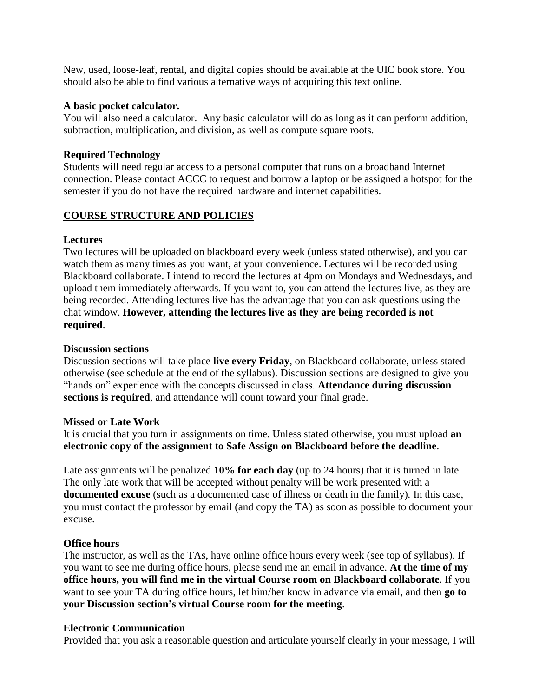New, used, loose-leaf, rental, and digital copies should be available at the UIC book store. You should also be able to find various alternative ways of acquiring this text online.

#### **A basic pocket calculator.**

You will also need a calculator. Any basic calculator will do as long as it can perform addition, subtraction, multiplication, and division, as well as compute square roots.

### **Required Technology**

Students will need regular access to a personal computer that runs on a broadband Internet connection. Please contact ACCC to request and borrow a laptop or be assigned a hotspot for the semester if you do not have the required hardware and internet capabilities.

### **COURSE STRUCTURE AND POLICIES**

### **Lectures**

Two lectures will be uploaded on blackboard every week (unless stated otherwise), and you can watch them as many times as you want, at your convenience. Lectures will be recorded using Blackboard collaborate. I intend to record the lectures at 4pm on Mondays and Wednesdays, and upload them immediately afterwards. If you want to, you can attend the lectures live, as they are being recorded. Attending lectures live has the advantage that you can ask questions using the chat window. **However, attending the lectures live as they are being recorded is not required**.

### **Discussion sections**

Discussion sections will take place **live every Friday**, on Blackboard collaborate, unless stated otherwise (see schedule at the end of the syllabus). Discussion sections are designed to give you "hands on" experience with the concepts discussed in class. **Attendance during discussion sections is required**, and attendance will count toward your final grade.

#### **Missed or Late Work**

It is crucial that you turn in assignments on time. Unless stated otherwise, you must upload **an electronic copy of the assignment to Safe Assign on Blackboard before the deadline**.

Late assignments will be penalized **10% for each day** (up to 24 hours) that it is turned in late. The only late work that will be accepted without penalty will be work presented with a **documented excuse** (such as a documented case of illness or death in the family)*.* In this case, you must contact the professor by email (and copy the TA) as soon as possible to document your excuse.

#### **Office hours**

The instructor, as well as the TAs, have online office hours every week (see top of syllabus). If you want to see me during office hours, please send me an email in advance. **At the time of my office hours, you will find me in the virtual Course room on Blackboard collaborate**. If you want to see your TA during office hours, let him/her know in advance via email, and then **go to your Discussion section's virtual Course room for the meeting**.

#### **Electronic Communication**

Provided that you ask a reasonable question and articulate yourself clearly in your message, I will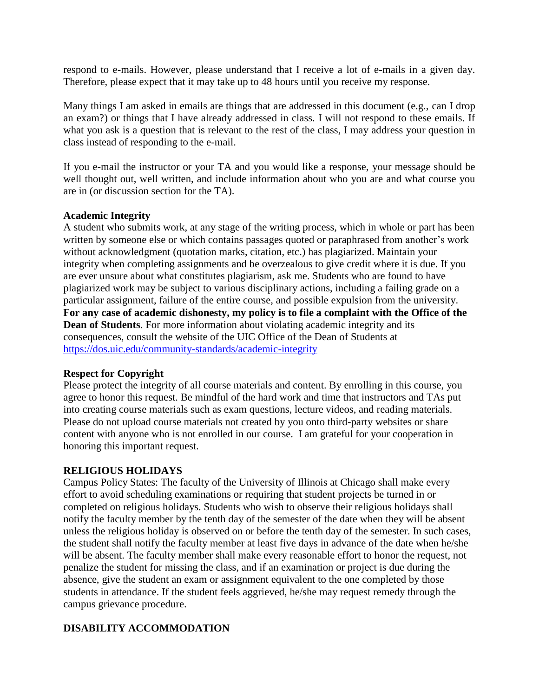respond to e-mails. However, please understand that I receive a lot of e-mails in a given day. Therefore, please expect that it may take up to 48 hours until you receive my response.

Many things I am asked in emails are things that are addressed in this document (e.g., can I drop an exam?) or things that I have already addressed in class. I will not respond to these emails. If what you ask is a question that is relevant to the rest of the class, I may address your question in class instead of responding to the e-mail.

If you e-mail the instructor or your TA and you would like a response, your message should be well thought out, well written, and include information about who you are and what course you are in (or discussion section for the TA).

#### **Academic Integrity**

A student who submits work, at any stage of the writing process, which in whole or part has been written by someone else or which contains passages quoted or paraphrased from another's work without acknowledgment (quotation marks, citation, etc.) has plagiarized. Maintain your integrity when completing assignments and be overzealous to give credit where it is due. If you are ever unsure about what constitutes plagiarism, ask me. Students who are found to have plagiarized work may be subject to various disciplinary actions, including a failing grade on a particular assignment, failure of the entire course, and possible expulsion from the university. **For any case of academic dishonesty, my policy is to file a complaint with the Office of the Dean of Students**. For more information about violating academic integrity and its consequences, consult the website of the UIC Office of the Dean of Students at <https://dos.uic.edu/community-standards/academic-integrity>

#### **Respect for Copyright**

Please protect the integrity of all course materials and content. By enrolling in this course, you agree to honor this request. Be mindful of the hard work and time that instructors and TAs put into creating course materials such as exam questions, lecture videos, and reading materials. Please do not upload course materials not created by you onto third-party websites or share content with anyone who is not enrolled in our course. I am grateful for your cooperation in honoring this important request.

### **RELIGIOUS HOLIDAYS**

Campus Policy States: The faculty of the University of Illinois at Chicago shall make every effort to avoid scheduling examinations or requiring that student projects be turned in or completed on religious holidays. Students who wish to observe their religious holidays shall notify the faculty member by the tenth day of the semester of the date when they will be absent unless the religious holiday is observed on or before the tenth day of the semester. In such cases, the student shall notify the faculty member at least five days in advance of the date when he/she will be absent. The faculty member shall make every reasonable effort to honor the request, not penalize the student for missing the class, and if an examination or project is due during the absence, give the student an exam or assignment equivalent to the one completed by those students in attendance. If the student feels aggrieved, he/she may request remedy through the campus grievance procedure.

### **DISABILITY ACCOMMODATION**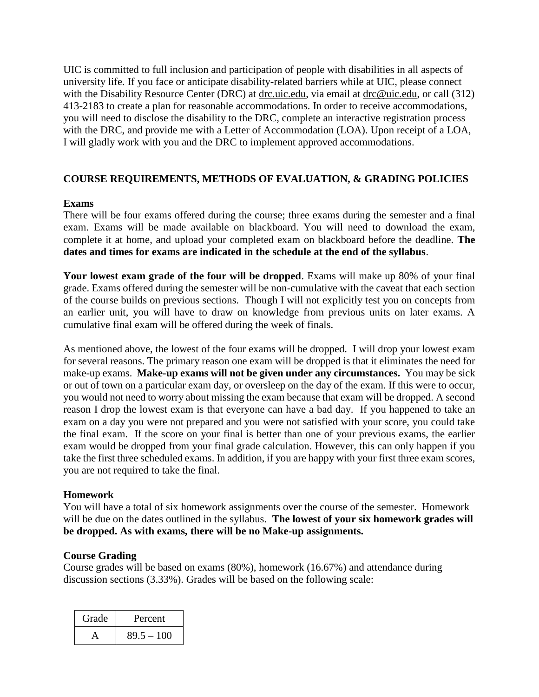UIC is committed to full inclusion and participation of people with disabilities in all aspects of university life. If you face or anticipate disability-related barriers while at UIC, please connect with the Disability Resource Center (DRC) at [drc.uic.edu,](https://drc.uic.edu/) via email at [drc@uic.edu,](mailto:drc@uic.edu) or call (312) 413-2183 to create a plan for reasonable accommodations. In order to receive accommodations, you will need to disclose the disability to the DRC, complete an interactive registration process with the DRC, and provide me with a Letter of Accommodation (LOA). Upon receipt of a LOA, I will gladly work with you and the DRC to implement approved accommodations.

### **COURSE REQUIREMENTS, METHODS OF EVALUATION, & GRADING POLICIES**

#### **Exams**

There will be four exams offered during the course; three exams during the semester and a final exam. Exams will be made available on blackboard. You will need to download the exam, complete it at home, and upload your completed exam on blackboard before the deadline. **The dates and times for exams are indicated in the schedule at the end of the syllabus**.

**Your lowest exam grade of the four will be dropped**. Exams will make up 80% of your final grade. Exams offered during the semester will be non-cumulative with the caveat that each section of the course builds on previous sections. Though I will not explicitly test you on concepts from an earlier unit, you will have to draw on knowledge from previous units on later exams. A cumulative final exam will be offered during the week of finals.

As mentioned above, the lowest of the four exams will be dropped. I will drop your lowest exam for several reasons. The primary reason one exam will be dropped is that it eliminates the need for make-up exams. **Make-up exams will not be given under any circumstances.** You may be sick or out of town on a particular exam day, or oversleep on the day of the exam. If this were to occur, you would not need to worry about missing the exam because that exam will be dropped. A second reason I drop the lowest exam is that everyone can have a bad day. If you happened to take an exam on a day you were not prepared and you were not satisfied with your score, you could take the final exam. If the score on your final is better than one of your previous exams, the earlier exam would be dropped from your final grade calculation. However, this can only happen if you take the first three scheduled exams. In addition, if you are happy with your first three exam scores, you are not required to take the final.

#### **Homework**

You will have a total of six homework assignments over the course of the semester. Homework will be due on the dates outlined in the syllabus. **The lowest of your six homework grades will be dropped. As with exams, there will be no Make-up assignments.** 

#### **Course Grading**

Course grades will be based on exams (80%), homework (16.67%) and attendance during discussion sections (3.33%). Grades will be based on the following scale:

| Grade | Percent      |
|-------|--------------|
|       | $89.5 - 100$ |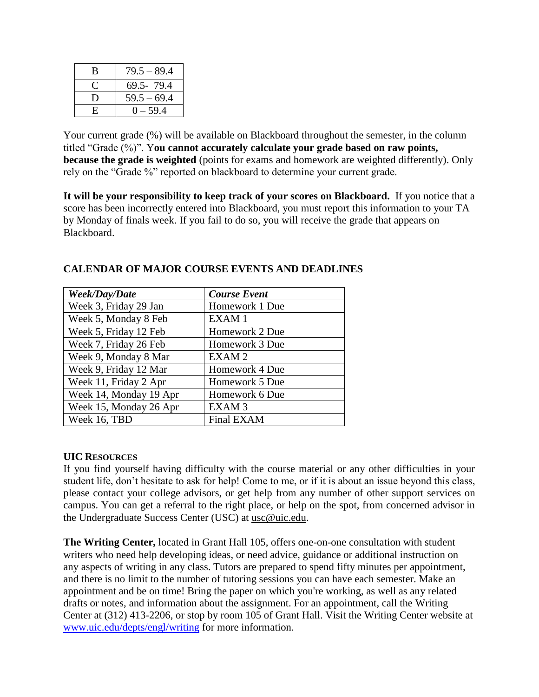| B  | $79.5 - 89.4$ |
|----|---------------|
|    | 69.5-79.4     |
| I) | $59.5 - 69.4$ |
| H. | $0 - 59.4$    |

Your current grade  $(\%)$  will be available on Blackboard throughout the semester, in the column titled "Grade (%)". Y**ou cannot accurately calculate your grade based on raw points, because the grade is weighted** (points for exams and homework are weighted differently). Only rely on the "Grade %" reported on blackboard to determine your current grade.

**It will be your responsibility to keep track of your scores on Blackboard.** If you notice that a score has been incorrectly entered into Blackboard, you must report this information to your TA by Monday of finals week. If you fail to do so, you will receive the grade that appears on Blackboard.

| Week/Day/Date          | <b>Course Event</b> |
|------------------------|---------------------|
| Week 3, Friday 29 Jan  | Homework 1 Due      |
| Week 5, Monday 8 Feb   | EXAM <sub>1</sub>   |
| Week 5, Friday 12 Feb  | Homework 2 Due      |
| Week 7, Friday 26 Feb  | Homework 3 Due      |
| Week 9, Monday 8 Mar   | EXAM <sub>2</sub>   |
| Week 9, Friday 12 Mar  | Homework 4 Due      |
| Week 11, Friday 2 Apr  | Homework 5 Due      |
| Week 14, Monday 19 Apr | Homework 6 Due      |
| Week 15, Monday 26 Apr | EXAM <sub>3</sub>   |
| Week 16, TBD           | Final EXAM          |

## **CALENDAR OF MAJOR COURSE EVENTS AND DEADLINES**

#### **UIC RESOURCES**

If you find yourself having difficulty with the course material or any other difficulties in your student life, don't hesitate to ask for help! Come to me, or if it is about an issue beyond this class, please contact your college advisors, or get help from any number of other support services on campus. You can get a referral to the right place, or help on the spot, from concerned advisor in the Undergraduate Success Center (USC) at [usc@uic.edu](mailto:usc@uic.edu).

**The Writing Center,** located in Grant Hall 105, offers one-on-one consultation with student writers who need help developing ideas, or need advice, guidance or additional instruction on any aspects of writing in any class. Tutors are prepared to spend fifty minutes per appointment, and there is no limit to the number of tutoring sessions you can have each semester. Make an appointment and be on time! Bring the paper on which you're working, as well as any related drafts or notes, and information about the assignment. For an appointment, call the Writing Center at (312) 413-2206, or stop by room 105 of Grant Hall. Visit the Writing Center website at [www.uic.edu/depts/engl/writing](http://www.uic.edu/depts/engl/writing) for more information.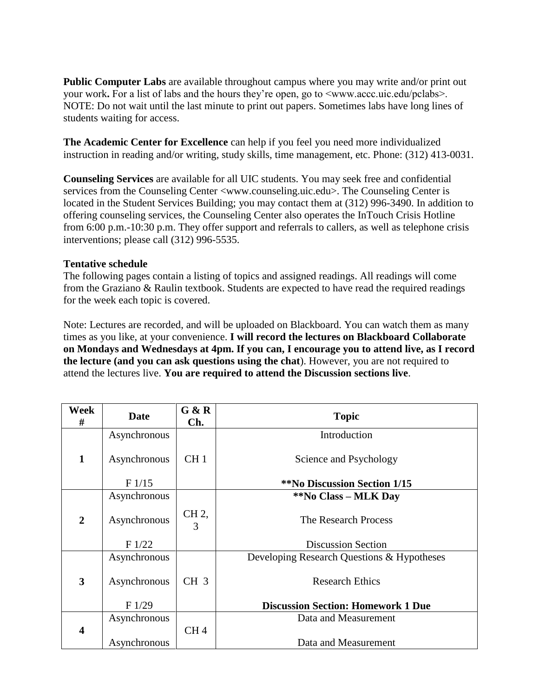**Public Computer Labs** are available throughout campus where you may write and/or print out your work**.** For a list of labs and the hours they're open, go to <www.accc.uic.edu/pclabs>. NOTE: Do not wait until the last minute to print out papers. Sometimes labs have long lines of students waiting for access.

**The Academic Center for Excellence** can help if you feel you need more individualized instruction in reading and/or writing, study skills, time management, etc. Phone: (312) 413-0031.

**Counseling Services** are available for all UIC students. You may seek free and confidential services from the Counseling Center <www.counseling.uic.edu>. The Counseling Center is located in the Student Services Building; you may contact them at (312) 996-3490. In addition to offering counseling services, the Counseling Center also operates the InTouch Crisis Hotline from 6:00 p.m.-10:30 p.m. They offer support and referrals to callers, as well as telephone crisis interventions; please call (312) 996-5535.

### **Tentative schedule**

The following pages contain a listing of topics and assigned readings. All readings will come from the Graziano & Raulin textbook. Students are expected to have read the required readings for the week each topic is covered.

Note: Lectures are recorded, and will be uploaded on Blackboard. You can watch them as many times as you like, at your convenience. **I will record the lectures on Blackboard Collaborate on Mondays and Wednesdays at 4pm. If you can, I encourage you to attend live, as I record the lecture (and you can ask questions using the chat**). However, you are not required to attend the lectures live. **You are required to attend the Discussion sections live**.

| Week<br>#               | <b>Date</b>  | G & R<br>Ch.    | <b>Topic</b>                               |
|-------------------------|--------------|-----------------|--------------------------------------------|
|                         | Asynchronous |                 | Introduction                               |
| $\mathbf{1}$            | Asynchronous | CH <sub>1</sub> | Science and Psychology                     |
|                         | F1/15        |                 | <b>**No Discussion Section 1/15</b>        |
|                         | Asynchronous |                 | **No Class – MLK Day                       |
| $\mathbf{2}$            | Asynchronous | CH 2,<br>3      | The Research Process                       |
|                         | F1/22        |                 | <b>Discussion Section</b>                  |
|                         | Asynchronous |                 | Developing Research Questions & Hypotheses |
| $\overline{\mathbf{3}}$ | Asynchronous | CH <sub>3</sub> | <b>Research Ethics</b>                     |
|                         | F1/29        |                 | <b>Discussion Section: Homework 1 Due</b>  |
|                         | Asynchronous |                 | Data and Measurement                       |
| 4                       |              | CH <sub>4</sub> |                                            |
|                         | Asynchronous |                 | Data and Measurement                       |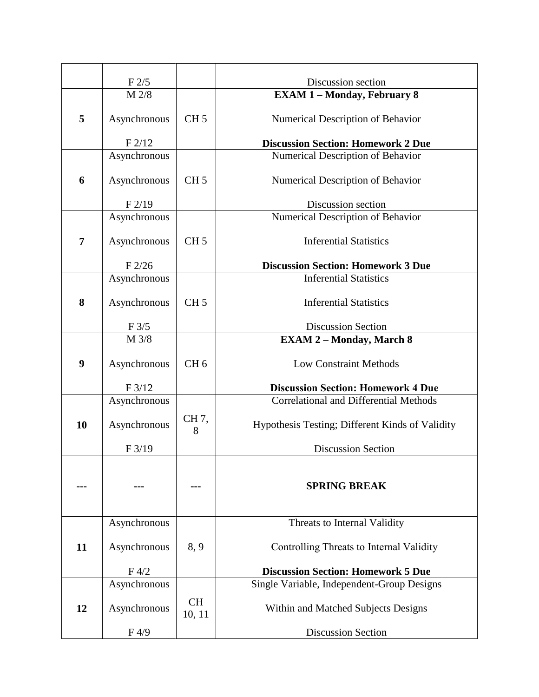|    | F2/5         |                     | Discussion section                              |
|----|--------------|---------------------|-------------------------------------------------|
|    | M 2/8        |                     | <b>EXAM 1 - Monday, February 8</b>              |
| 5  | Asynchronous | CH <sub>5</sub>     | Numerical Description of Behavior               |
|    | F2/12        |                     | <b>Discussion Section: Homework 2 Due</b>       |
|    | Asynchronous |                     | Numerical Description of Behavior               |
| 6  | Asynchronous | CH <sub>5</sub>     | Numerical Description of Behavior               |
|    | F2/19        |                     | Discussion section                              |
|    | Asynchronous |                     | Numerical Description of Behavior               |
| 7  | Asynchronous | CH <sub>5</sub>     | <b>Inferential Statistics</b>                   |
|    | F2/26        |                     | <b>Discussion Section: Homework 3 Due</b>       |
|    | Asynchronous |                     | <b>Inferential Statistics</b>                   |
| 8  | Asynchronous | CH <sub>5</sub>     | <b>Inferential Statistics</b>                   |
|    | F 3/5        |                     | <b>Discussion Section</b>                       |
|    | M 3/8        |                     | <b>EXAM 2-Monday, March 8</b>                   |
| 9  | Asynchronous | CH <sub>6</sub>     | <b>Low Constraint Methods</b>                   |
|    | F3/12        |                     | <b>Discussion Section: Homework 4 Due</b>       |
|    | Asynchronous |                     | <b>Correlational and Differential Methods</b>   |
| 10 | Asynchronous | CH 7,<br>8          | Hypothesis Testing; Different Kinds of Validity |
|    | F3/19        |                     | <b>Discussion Section</b>                       |
|    |              |                     | <b>SPRING BREAK</b>                             |
|    | Asynchronous |                     | Threats to Internal Validity                    |
| 11 | Asynchronous | 8, 9                | Controlling Threats to Internal Validity        |
|    | F 4/2        |                     | <b>Discussion Section: Homework 5 Due</b>       |
|    | Asynchronous |                     | Single Variable, Independent-Group Designs      |
| 12 | Asynchronous | <b>CH</b><br>10, 11 | Within and Matched Subjects Designs             |
|    | F4/9         |                     | <b>Discussion Section</b>                       |